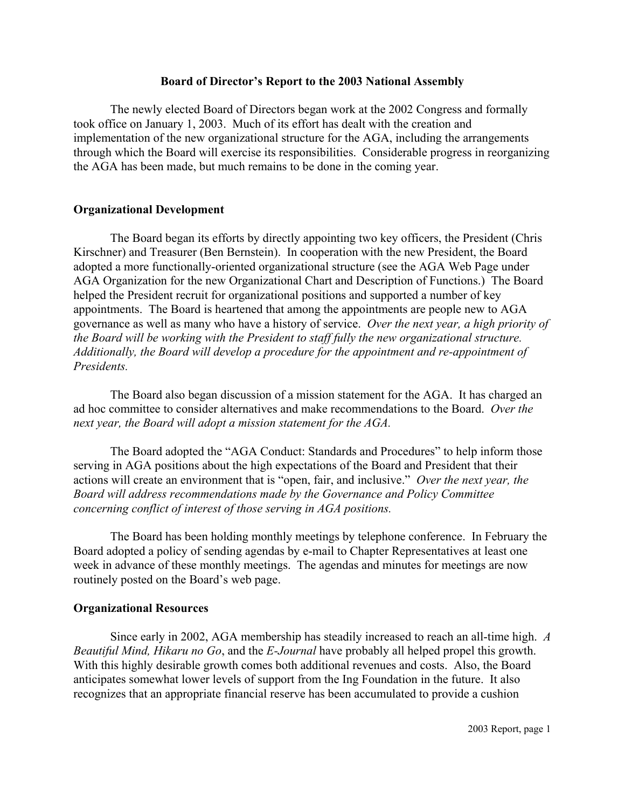### **Board of Director's Report to the 2003 National Assembly**

The newly elected Board of Directors began work at the 2002 Congress and formally took office on January 1, 2003. Much of its effort has dealt with the creation and implementation of the new organizational structure for the AGA, including the arrangements through which the Board will exercise its responsibilities. Considerable progress in reorganizing the AGA has been made, but much remains to be done in the coming year.

## **Organizational Development**

The Board began its efforts by directly appointing two key officers, the President (Chris Kirschner) and Treasurer (Ben Bernstein). In cooperation with the new President, the Board adopted a more functionally-oriented organizational structure (see the AGA Web Page under AGA Organization for the new Organizational Chart and Description of Functions.) The Board helped the President recruit for organizational positions and supported a number of key appointments. The Board is heartened that among the appointments are people new to AGA governance as well as many who have a history of service. *Over the next year, a high priority of the Board will be working with the President to staff fully the new organizational structure. Additionally, the Board will develop a procedure for the appointment and re-appointment of Presidents.*

The Board also began discussion of a mission statement for the AGA. It has charged an ad hoc committee to consider alternatives and make recommendations to the Board. *Over the next year, the Board will adopt a mission statement for the AGA.* 

The Board adopted the "AGA Conduct: Standards and Procedures" to help inform those serving in AGA positions about the high expectations of the Board and President that their actions will create an environment that is "open, fair, and inclusive." *Over the next year, the Board will address recommendations made by the Governance and Policy Committee concerning conflict of interest of those serving in AGA positions.*

The Board has been holding monthly meetings by telephone conference. In February the Board adopted a policy of sending agendas by e-mail to Chapter Representatives at least one week in advance of these monthly meetings. The agendas and minutes for meetings are now routinely posted on the Board's web page.

# **Organizational Resources**

Since early in 2002, AGA membership has steadily increased to reach an all-time high. *A Beautiful Mind, Hikaru no Go*, and the *E-Journal* have probably all helped propel this growth. With this highly desirable growth comes both additional revenues and costs. Also, the Board anticipates somewhat lower levels of support from the Ing Foundation in the future. It also recognizes that an appropriate financial reserve has been accumulated to provide a cushion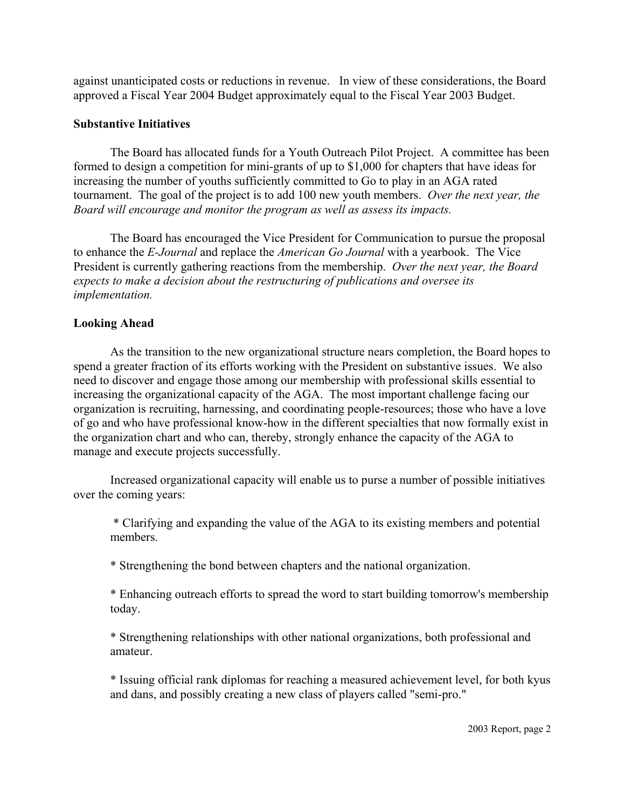against unanticipated costs or reductions in revenue. In view of these considerations, the Board approved a Fiscal Year 2004 Budget approximately equal to the Fiscal Year 2003 Budget.

## **Substantive Initiatives**

The Board has allocated funds for a Youth Outreach Pilot Project. A committee has been formed to design a competition for mini-grants of up to \$1,000 for chapters that have ideas for increasing the number of youths sufficiently committed to Go to play in an AGA rated tournament. The goal of the project is to add 100 new youth members. *Over the next year, the Board will encourage and monitor the program as well as assess its impacts.* 

The Board has encouraged the Vice President for Communication to pursue the proposal to enhance the *E-Journal* and replace the *American Go Journal* with a yearbook. The Vice President is currently gathering reactions from the membership. *Over the next year, the Board expects to make a decision about the restructuring of publications and oversee its implementation.*

# **Looking Ahead**

As the transition to the new organizational structure nears completion, the Board hopes to spend a greater fraction of its efforts working with the President on substantive issues. We also need to discover and engage those among our membership with professional skills essential to increasing the organizational capacity of the AGA. The most important challenge facing our organization is recruiting, harnessing, and coordinating people-resources; those who have a love of go and who have professional know-how in the different specialties that now formally exist in the organization chart and who can, thereby, strongly enhance the capacity of the AGA to manage and execute projects successfully.

Increased organizational capacity will enable us to purse a number of possible initiatives over the coming years:

 \* Clarifying and expanding the value of the AGA to its existing members and potential members.

\* Strengthening the bond between chapters and the national organization.

\* Enhancing outreach efforts to spread the word to start building tomorrow's membership today.

\* Strengthening relationships with other national organizations, both professional and amateur.

\* Issuing official rank diplomas for reaching a measured achievement level, for both kyus and dans, and possibly creating a new class of players called "semi-pro."